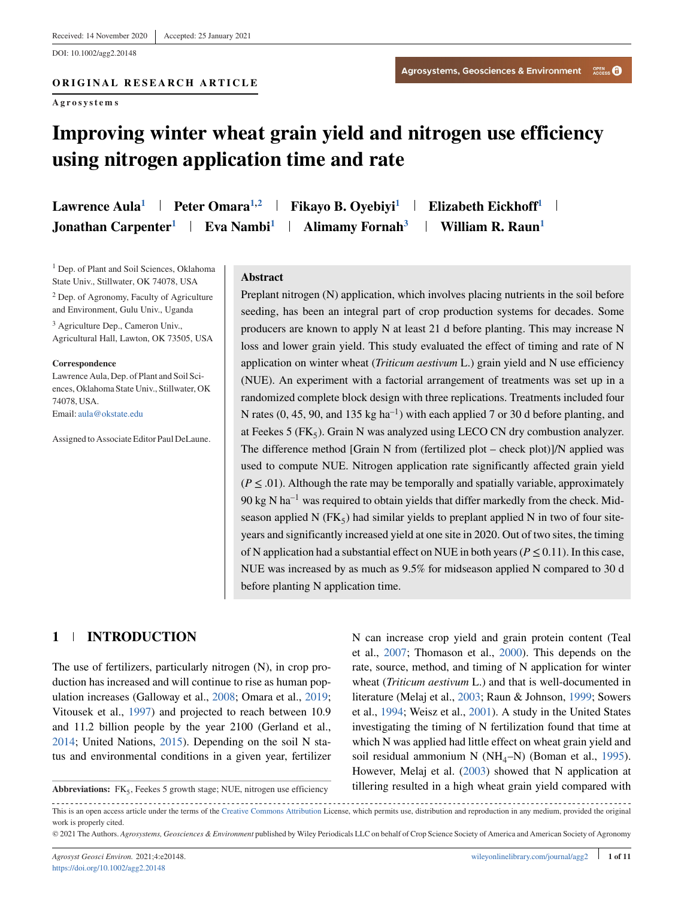DOI: 10.1002/agg2.20148

**Agrosystems**

# **Improving winter wheat grain yield and nitrogen use efficiency using nitrogen application time and rate**

**Lawrence Aula<sup>1</sup> | Peter Omara<sup>1,2</sup> | Fikayo B. Oyebiyi<sup>1</sup> | Elizabeth Eickhoff<sup>1</sup> Jonathan Carpenter<sup>1</sup> | Eva Nambi<sup>1</sup> | Alimamy Fornah<sup>3</sup> | William R. Raun<sup>1</sup>** 

<sup>1</sup> Dep. of Plant and Soil Sciences, Oklahoma State Univ., Stillwater, OK 74078, USA

<sup>2</sup> Dep. of Agronomy, Faculty of Agriculture and Environment, Gulu Univ., Uganda

<sup>3</sup> Agriculture Dep., Cameron Univ., Agricultural Hall, Lawton, OK 73505, USA

#### **Correspondence**

Lawrence Aula, Dep. of Plant and Soil Sciences, Oklahoma State Univ., Stillwater, OK 74078, USA. Email: [aula@okstate.edu](mailto:aula@okstate.edu)

Assigned to Associate Editor Paul DeLaune.

**Abstract**

Preplant nitrogen (N) application, which involves placing nutrients in the soil before seeding, has been an integral part of crop production systems for decades. Some producers are known to apply N at least 21 d before planting. This may increase N loss and lower grain yield. This study evaluated the effect of timing and rate of N application on winter wheat (*Triticum aestivum* L.) grain yield and N use efficiency (NUE). An experiment with a factorial arrangement of treatments was set up in a randomized complete block design with three replications. Treatments included four N rates (0, 45, 90, and 135 kg ha<sup>-1</sup>) with each applied 7 or 30 d before planting, and at Feekes 5 ( $FK_5$ ). Grain N was analyzed using LECO CN dry combustion analyzer. The difference method [Grain N from (fertilized plot – check plot)]/N applied was used to compute NUE. Nitrogen application rate significantly affected grain yield  $(P \le 0.01)$ . Although the rate may be temporally and spatially variable, approximately  $90 \text{ kg N} \text{ ha}^{-1}$  was required to obtain yields that differ markedly from the check. Midseason applied N ( $FK<sub>5</sub>$ ) had similar yields to preplant applied N in two of four siteyears and significantly increased yield at one site in 2020. Out of two sites, the timing of N application had a substantial effect on NUE in both years ( $P \le 0.11$ ). In this case, NUE was increased by as much as 9.5% for midseason applied N compared to 30 d before planting N application time.

## **1 INTRODUCTION**

The use of fertilizers, particularly nitrogen (N), in crop production has increased and will continue to rise as human population increases (Galloway et al., [2008;](#page-9-0) Omara et al., [2019;](#page-9-0) Vitousek et al., [1997\)](#page-10-0) and projected to reach between 10.9 and 11.2 billion people by the year 2100 (Gerland et al., [2014;](#page-9-0) United Nations, [2015\)](#page-10-0). Depending on the soil N status and environmental conditions in a given year, fertilizer

Abbreviations: FK<sub>5</sub>, Feekes 5 growth stage; NUE, nitrogen use efficiency

N can increase crop yield and grain protein content (Teal et al., [2007;](#page-10-0) Thomason et al., [2000\)](#page-10-0). This depends on the rate, source, method, and timing of N application for winter wheat (*Triticum aestivum* L.) and that is well-documented in literature (Melaj et al., [2003;](#page-9-0) Raun & Johnson, [1999;](#page-9-0) Sowers et al., [1994;](#page-10-0) Weisz et al., [2001\)](#page-10-0). A study in the United States investigating the timing of N fertilization found that time at which N was applied had little effect on wheat grain yield and soil residual ammonium N (NH<sub>4</sub>–N) (Boman et al., [1995\)](#page-8-0). However, Melaj et al. [\(2003\)](#page-9-0) showed that N application at tillering resulted in a high wheat grain yield compared with

This is an open access article under the terms of the [Creative Commons Attribution](http://creativecommons.org/licenses/by/4.0/) License, which permits use, distribution and reproduction in any medium, provided the original work is properly cited.

© 2021 The Authors. *Agrosystems, Geosciences & Environment* published by Wiley Periodicals LLC on behalf of Crop Science Society of America and American Society of Agronomy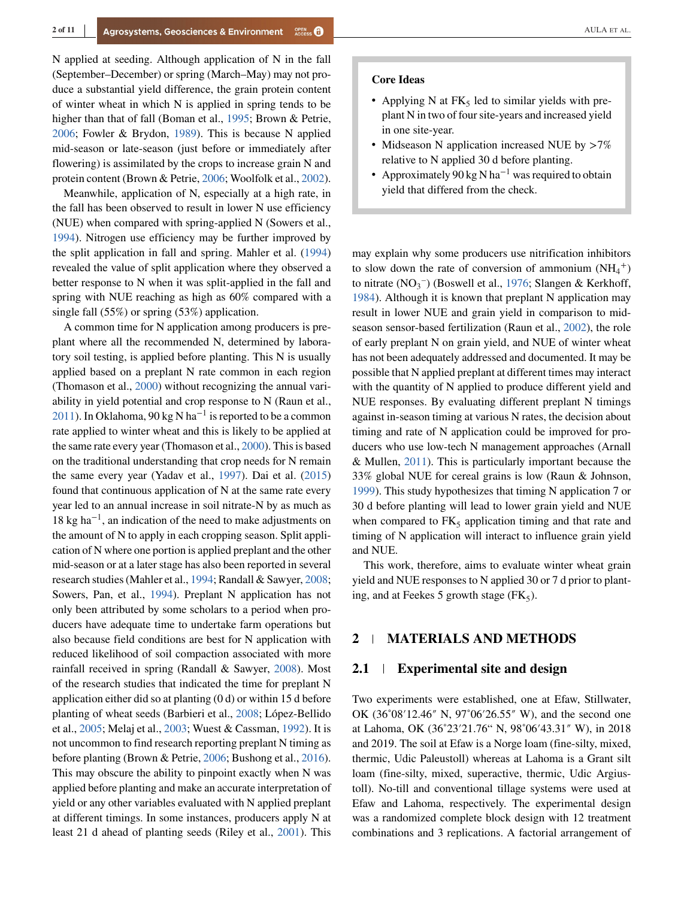N applied at seeding. Although application of N in the fall (September–December) or spring (March–May) may not produce a substantial yield difference, the grain protein content of winter wheat in which N is applied in spring tends to be higher than that of fall (Boman et al., [1995;](#page-8-0) Brown & Petrie, [2006;](#page-8-0) Fowler & Brydon, [1989\)](#page-9-0). This is because N applied mid-season or late-season (just before or immediately after flowering) is assimilated by the crops to increase grain N and protein content (Brown & Petrie, [2006;](#page-8-0) Woolfolk et al., [2002\)](#page-10-0).

Meanwhile, application of N, especially at a high rate, in the fall has been observed to result in lower N use efficiency (NUE) when compared with spring-applied N (Sowers et al., [1994\)](#page-10-0). Nitrogen use efficiency may be further improved by the split application in fall and spring. Mahler et al. [\(1994\)](#page-9-0) revealed the value of split application where they observed a better response to N when it was split-applied in the fall and spring with NUE reaching as high as 60% compared with a single fall (55%) or spring (53%) application.

A common time for N application among producers is preplant where all the recommended N, determined by laboratory soil testing, is applied before planting. This N is usually applied based on a preplant N rate common in each region (Thomason et al., [2000\)](#page-10-0) without recognizing the annual variability in yield potential and crop response to N (Raun et al., [2011\)](#page-9-0). In Oklahoma, 90 kg N ha<sup>-1</sup> is reported to be a common rate applied to winter wheat and this is likely to be applied at the same rate every year (Thomason et al., [2000\)](#page-10-0). This is based on the traditional understanding that crop needs for N remain the same every year (Yadav et al., [1997\)](#page-10-0). Dai et al. [\(2015\)](#page-9-0) found that continuous application of N at the same rate every year led to an annual increase in soil nitrate-N by as much as 18 kg ha<sup>−</sup>1, an indication of the need to make adjustments on the amount of N to apply in each cropping season. Split application of N where one portion is applied preplant and the other mid-season or at a later stage has also been reported in several research studies (Mahler et al., [1994;](#page-9-0) Randall & Sawyer, [2008;](#page-9-0) Sowers, Pan, et al., [1994\)](#page-10-0). Preplant N application has not only been attributed by some scholars to a period when producers have adequate time to undertake farm operations but also because field conditions are best for N application with reduced likelihood of soil compaction associated with more rainfall received in spring (Randall & Sawyer, [2008\)](#page-9-0). Most of the research studies that indicated the time for preplant N application either did so at planting (0 d) or within 15 d before planting of wheat seeds (Barbieri et al., [2008;](#page-8-0) López-Bellido et al., [2005;](#page-9-0) Melaj et al., [2003;](#page-9-0) Wuest & Cassman, [1992\)](#page-10-0). It is not uncommon to find research reporting preplant N timing as before planting (Brown & Petrie, [2006;](#page-8-0) Bushong et al., [2016\)](#page-8-0). This may obscure the ability to pinpoint exactly when N was applied before planting and make an accurate interpretation of yield or any other variables evaluated with N applied preplant at different timings. In some instances, producers apply N at least 21 d ahead of planting seeds (Riley et al., [2001\)](#page-9-0). This

#### **Core Ideas**

- Applying N at  $FK<sub>5</sub>$  led to similar yields with preplant N in two of four site-years and increased yield in one site-year.
- ∙ Midseason N application increased NUE by *>*7% relative to N applied 30 d before planting.
- Approximately 90 kg N ha<sup>-1</sup> was required to obtain yield that differed from the check.

may explain why some producers use nitrification inhibitors to slow down the rate of conversion of ammonium  $(NH_4^+)$ to nitrate  $(NO<sub>3</sub><sup>-</sup>)$  (Boswell et al., [1976;](#page-8-0) Slangen & Kerkhoff, [1984\)](#page-9-0). Although it is known that preplant N application may result in lower NUE and grain yield in comparison to midseason sensor-based fertilization (Raun et al., [2002\)](#page-9-0), the role of early preplant N on grain yield, and NUE of winter wheat has not been adequately addressed and documented. It may be possible that N applied preplant at different times may interact with the quantity of N applied to produce different yield and NUE responses. By evaluating different preplant N timings against in-season timing at various N rates, the decision about timing and rate of N application could be improved for producers who use low-tech N management approaches (Arnall & Mullen, [2011\)](#page-8-0). This is particularly important because the 33% global NUE for cereal grains is low (Raun & Johnson, [1999\)](#page-9-0). This study hypothesizes that timing N application 7 or 30 d before planting will lead to lower grain yield and NUE when compared to  $FK<sub>5</sub>$  application timing and that rate and timing of N application will interact to influence grain yield and NUE.

This work, therefore, aims to evaluate winter wheat grain yield and NUE responses to N applied 30 or 7 d prior to planting, and at Feekes 5 growth stage  $(FK_5)$ .

# **2 MATERIALS AND METHODS**

#### **2.1 Experimental site and design**

Two experiments were established, one at Efaw, Stillwater, OK (36˚08′12.46″ N, 97˚06′26.55″ W), and the second one at Lahoma, OK (36˚23′21.76" N, 98˚06′43.31″ W), in 2018 and 2019. The soil at Efaw is a Norge loam (fine-silty, mixed, thermic, Udic Paleustoll) whereas at Lahoma is a Grant silt loam (fine-silty, mixed, superactive, thermic, Udic Argiustoll). No-till and conventional tillage systems were used at Efaw and Lahoma, respectively. The experimental design was a randomized complete block design with 12 treatment combinations and 3 replications. A factorial arrangement of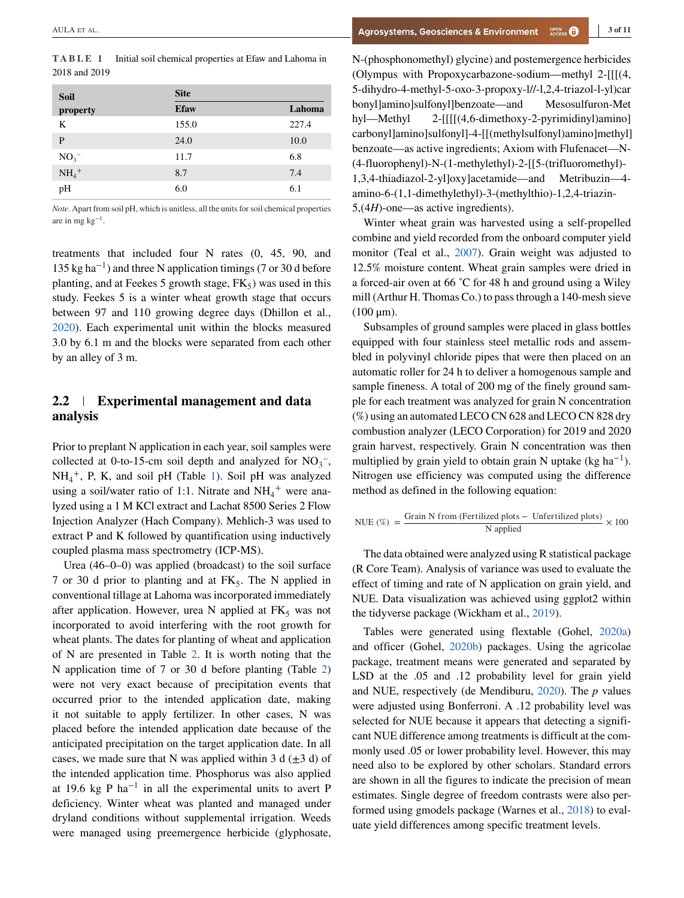| <b>Soil</b>         | <b>Site</b> |        |  |  |  |
|---------------------|-------------|--------|--|--|--|
| property            | <b>Efaw</b> | Lahoma |  |  |  |
| K                   | 155.0       | 227.4  |  |  |  |
| P                   | 24.0        | 10.0   |  |  |  |
| $NO3-$              | 11.7        | 6.8    |  |  |  |
| $NH_4$ <sup>+</sup> | 8.7         | 7.4    |  |  |  |
| pН                  | 6.0         | 6.1    |  |  |  |

*Note*. Apart from soil pH, which is unitless, all the units for soil chemical properties are in mg  $kg^{-1}$ .

treatments that included four N rates (0, 45, 90, and 135 kg ha<sup> $-1$ </sup>) and three N application timings (7 or 30 d before planting, and at Feekes 5 growth stage,  $FK<sub>5</sub>$ ) was used in this study. Feekes 5 is a winter wheat growth stage that occurs between 97 and 110 growing degree days (Dhillon et al., [2020\)](#page-9-0). Each experimental unit within the blocks measured 3.0 by 6.1 m and the blocks were separated from each other by an alley of 3 m.

# **2.2 Experimental management and data analysis**

Prior to preplant N application in each year, soil samples were collected at 0-to-15-cm soil depth and analyzed for  $NO<sub>3</sub><sup>-</sup>$ , NH4 <sup>+</sup>, P, K, and soil pH (Table 1). Soil pH was analyzed using a soil/water ratio of 1:1. Nitrate and  $NH_4^+$  were analyzed using a 1 M KCl extract and Lachat 8500 Series 2 Flow Injection Analyzer (Hach Company). Mehlich-3 was used to extract P and K followed by quantification using inductively coupled plasma mass spectrometry (ICP-MS).

Urea (46–0–0) was applied (broadcast) to the soil surface 7 or 30 d prior to planting and at  $FK<sub>5</sub>$ . The N applied in conventional tillage at Lahoma was incorporated immediately after application. However, urea N applied at  $FK<sub>5</sub>$  was not incorporated to avoid interfering with the root growth for wheat plants. The dates for planting of wheat and application of N are presented in Table [2.](#page-3-0) It is worth noting that the N application time of 7 or 30 d before planting (Table [2\)](#page-3-0) were not very exact because of precipitation events that occurred prior to the intended application date, making it not suitable to apply fertilizer. In other cases, N was placed before the intended application date because of the anticipated precipitation on the target application date. In all cases, we made sure that N was applied within 3 d  $(\pm 3$  d) of the intended application time. Phosphorus was also applied at 19.6 kg P ha<sup>-1</sup> in all the experimental units to avert P deficiency. Winter wheat was planted and managed under dryland conditions without supplemental irrigation. Weeds were managed using preemergence herbicide (glyphosate,

N-(phosphonomethyl) glycine) and postemergence herbicides (Olympus with Propoxycarbazone-sodium—methyl 2-[[[(4, 5-dihydro-4-methyl-5-oxo-3-propoxy-l//-l,2,4-triazol-l-yl)car bonyl]amino]sulfonyl]benzoate—and Mesosulfuron-Met hyl—Methyl 2-[[[[(4,6-dimethoxy-2-pyrimidinyl)amino] carbonyl]amino]sulfonyl]-4-[[(methylsulfonyl)amino]methyl] benzoate—as active ingredients; Axiom with Flufenacet—N- (4-fluorophenyl)-N-(1-methylethyl)-2-[[5-(trifluoromethyl)- 1,3,4-thiadiazol-2-yl]oxy]acetamide—and Metribuzin—4 amino-6-(1,1-dimethylethyl)-3-(methylthio)-1,2,4-triazin-5,(4*H*)-one—as active ingredients).

Winter wheat grain was harvested using a self-propelled combine and yield recorded from the onboard computer yield monitor (Teal et al., [2007\)](#page-10-0). Grain weight was adjusted to 12.5% moisture content. Wheat grain samples were dried in a forced-air oven at 66 ˚C for 48 h and ground using a Wiley mill (Arthur H. Thomas Co.) to pass through a 140-mesh sieve  $(100 μm)$ .

Subsamples of ground samples were placed in glass bottles equipped with four stainless steel metallic rods and assembled in polyvinyl chloride pipes that were then placed on an automatic roller for 24 h to deliver a homogenous sample and sample fineness. A total of 200 mg of the finely ground sample for each treatment was analyzed for grain N concentration (%) using an automated LECO CN 628 and LECO CN 828 dry combustion analyzer (LECO Corporation) for 2019 and 2020 grain harvest, respectively. Grain N concentration was then multiplied by grain yield to obtain grain N uptake (kg ha<sup>-1</sup>). Nitrogen use efficiency was computed using the difference method as defined in the following equation:

$$
NUE (\%) = \frac{Grain N from (Fertilized plots - Unfertilized plots)}{N applied} \times 100
$$

The data obtained were analyzed using R statistical package (R Core Team). Analysis of variance was used to evaluate the effect of timing and rate of N application on grain yield, and NUE. Data visualization was achieved using ggplot2 within the tidyverse package (Wickham et al., [2019\)](#page-10-0).

Tables were generated using flextable (Gohel, [2020a\)](#page-9-0) and officer (Gohel, [2020b\)](#page-9-0) packages. Using the agricolae package, treatment means were generated and separated by LSD at the .05 and .12 probability level for grain yield and NUE, respectively (de Mendiburu, [2020\)](#page-9-0). The *p* values were adjusted using Bonferroni. A .12 probability level was selected for NUE because it appears that detecting a significant NUE difference among treatments is difficult at the commonly used .05 or lower probability level. However, this may need also to be explored by other scholars. Standard errors are shown in all the figures to indicate the precision of mean estimates. Single degree of freedom contrasts were also performed using gmodels package (Warnes et al., [2018\)](#page-10-0) to evaluate yield differences among specific treatment levels.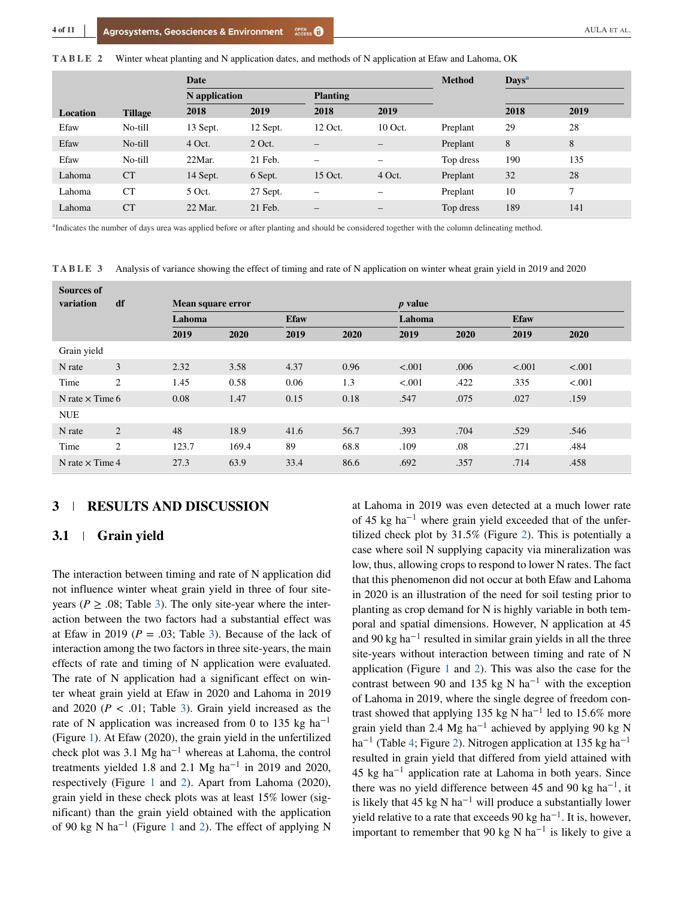<span id="page-3-0"></span>**TABLE 2** Winter wheat planting and N application dates, and methods of N application at Efaw and Lahoma, OK

|                 |                | Date          |          |                   | <b>Method</b><br><b>Days</b> <sup>a</sup> |           |      |        |
|-----------------|----------------|---------------|----------|-------------------|-------------------------------------------|-----------|------|--------|
|                 |                | N application |          | <b>Planting</b>   |                                           |           |      |        |
| <b>Location</b> | <b>Tillage</b> | 2018          | 2019     | 2018              | 2019                                      |           | 2018 | 2019   |
| Efaw            | No-till        | 13 Sept.      | 12 Sept. | 12 Oct.           | 10 Oct.                                   | Preplant  | 29   | 28     |
| Efaw            | No-till        | 4 Oct.        | $2$ Oct. | $\qquad \qquad -$ | —                                         | Preplant  | 8    | 8      |
| Efaw            | No-till        | 22Mar.        | 21 Feb.  | -                 | -                                         | Top dress | 190  | 135    |
| Lahoma          | <b>CT</b>      | 14 Sept.      | 6 Sept.  | 15 Oct.           | 4 Oct.                                    | Preplant  | 32   | 28     |
| Lahoma          | CT             | $5$ Oct.      | 27 Sept. | -                 | -                                         | Preplant  | 10   | $\tau$ |
| Lahoma          | CT             | 22 Mar.       | 21 Feb.  | -                 | $\overline{\phantom{m}}$                  | Top dress | 189  | 141    |

<sup>a</sup>Indicates the number of days urea was applied before or after planting and should be considered together with the column delineating method.

**TABLE 3** Analysis of variance showing the effect of timing and rate of N application on winter wheat grain yield in 2019 and 2020

| <b>Sources of</b><br>variation | df     | Mean square error |       |             |      | <i>p</i> value |      |             |        |
|--------------------------------|--------|-------------------|-------|-------------|------|----------------|------|-------------|--------|
|                                | Lahoma |                   |       | <b>Efaw</b> |      | Lahoma         |      | <b>Efaw</b> |        |
|                                |        | 2019              | 2020  | 2019        | 2020 | 2019           | 2020 | 2019        | 2020   |
| Grain yield                    |        |                   |       |             |      |                |      |             |        |
| N rate                         | 3      | 2.32              | 3.58  | 4.37        | 0.96 | < .001         | .006 | < .001      | < .001 |
| Time                           | 2      | 1.45              | 0.58  | 0.06        | 1.3  | < .001         | .422 | .335        | < .001 |
| N rate $\times$ Time 6         |        | 0.08              | 1.47  | 0.15        | 0.18 | .547           | .075 | .027        | .159   |
| <b>NUE</b>                     |        |                   |       |             |      |                |      |             |        |
| N rate                         | 2      | 48                | 18.9  | 41.6        | 56.7 | .393           | .704 | .529        | .546   |
| Time                           | 2      | 123.7             | 169.4 | 89          | 68.8 | .109           | .08  | .271        | .484   |
| N rate $\times$ Time 4         |        | 27.3              | 63.9  | 33.4        | 86.6 | .692           | .357 | .714        | .458   |

#### **3 RESULTS AND DISCUSSION**

### **3.1 Grain yield**

The interaction between timing and rate of N application did not influence winter wheat grain yield in three of four siteyears ( $P \ge 0.08$ ; Table 3). The only site-year where the interaction between the two factors had a substantial effect was at Efaw in 2019 ( $P = .03$ ; Table 3). Because of the lack of interaction among the two factors in three site-years, the main effects of rate and timing of N application were evaluated. The rate of N application had a significant effect on winter wheat grain yield at Efaw in 2020 and Lahoma in 2019 and 2020 ( $P < .01$ ; Table 3). Grain yield increased as the rate of N application was increased from 0 to 135 kg ha<sup>-1</sup> (Figure [1\)](#page-4-0). At Efaw (2020), the grain yield in the unfertilized check plot was 3.1 Mg ha<sup> $-1$ </sup> whereas at Lahoma, the control treatments yielded 1.8 and 2.1 Mg ha<sup>-1</sup> in 2019 and 2020, respectively (Figure [1](#page-4-0) and [2\)](#page-4-0). Apart from Lahoma (2020), grain yield in these check plots was at least 15% lower (significant) than the grain yield obtained with the application of 90 kg N ha−<sup>1</sup> (Figure [1](#page-4-0) and [2\)](#page-4-0). The effect of applying N

at Lahoma in 2019 was even detected at a much lower rate of 45 kg ha<sup> $-1$ </sup> where grain yield exceeded that of the unfertilized check plot by 31.5% (Figure [2\)](#page-4-0). This is potentially a case where soil N supplying capacity via mineralization was low, thus, allowing crops to respond to lower N rates. The fact that this phenomenon did not occur at both Efaw and Lahoma in 2020 is an illustration of the need for soil testing prior to planting as crop demand for N is highly variable in both temporal and spatial dimensions. However, N application at 45 and 90 kg ha<sup> $-1$ </sup> resulted in similar grain yields in all the three site-years without interaction between timing and rate of N application (Figure [1](#page-4-0) and [2\)](#page-4-0). This was also the case for the contrast between 90 and 135 kg N ha<sup>-1</sup> with the exception of Lahoma in 2019, where the single degree of freedom contrast showed that applying 135 kg N ha<sup>-1</sup> led to 15.6% more grain yield than 2.4 Mg ha<sup>-1</sup> achieved by applying 90 kg N ha<sup>-1</sup> (Table [4;](#page-4-0) Figure [2\)](#page-4-0). Nitrogen application at 135 kg ha<sup>-1</sup> resulted in grain yield that differed from yield attained with 45 kg ha−<sup>1</sup> application rate at Lahoma in both years. Since there was no yield difference between 45 and 90 kg ha<sup>-1</sup>, it is likely that 45 kg N ha<sup> $-1$ </sup> will produce a substantially lower yield relative to a rate that exceeds 90 kg ha<sup> $-1$ </sup>. It is, however, important to remember that 90 kg N ha<sup>-1</sup> is likely to give a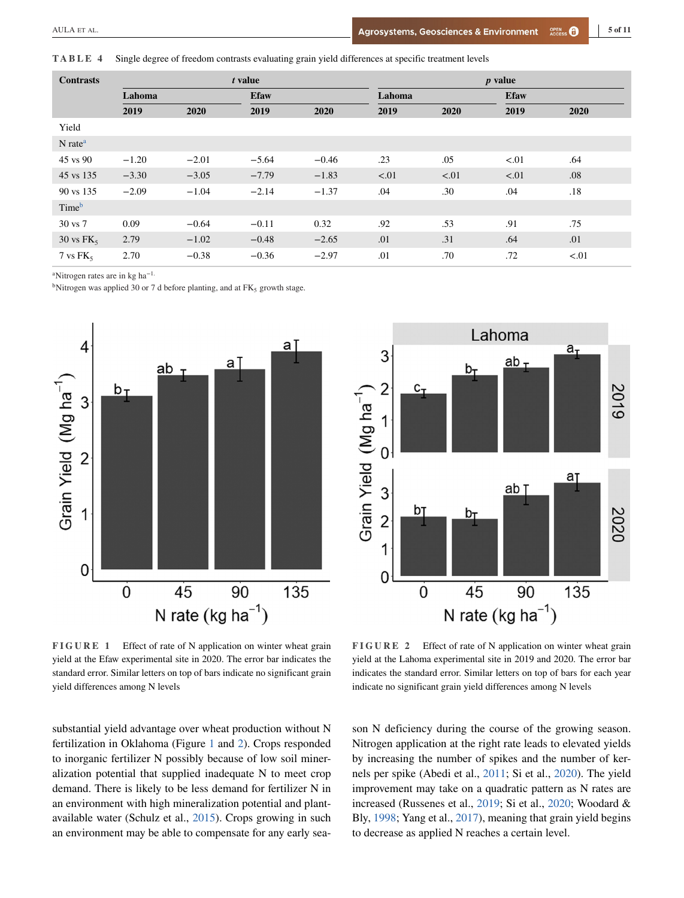<span id="page-4-0"></span>**TABLE 4** Single degree of freedom contrasts evaluating grain yield differences at specific treatment levels

| <b>Contrasts</b>                   | t value |         |             |         | <i>p</i> value |      |             |      |  |
|------------------------------------|---------|---------|-------------|---------|----------------|------|-------------|------|--|
|                                    | Lahoma  |         | <b>Efaw</b> |         | Lahoma         |      | <b>Efaw</b> |      |  |
|                                    | 2019    | 2020    | 2019        | 2020    | 2019           | 2020 | 2019        | 2020 |  |
| Yield                              |         |         |             |         |                |      |             |      |  |
| $N$ rate <sup><math>a</math></sup> |         |         |             |         |                |      |             |      |  |
| 45 vs 90                           | $-1.20$ | $-2.01$ | $-5.64$     | $-0.46$ | .23            | .05  | < 01        | .64  |  |
| 45 vs 135                          | $-3.30$ | $-3.05$ | $-7.79$     | $-1.83$ | < 01           | < 01 | < 01        | .08  |  |
| 90 vs 135                          | $-2.09$ | $-1.04$ | $-2.14$     | $-1.37$ | .04            | .30  | .04         | .18  |  |
| Time <sup>b</sup>                  |         |         |             |         |                |      |             |      |  |
| 30 vs 7                            | 0.09    | $-0.64$ | $-0.11$     | 0.32    | .92            | .53  | .91         | .75  |  |
| 30 vs $FK_5$                       | 2.79    | $-1.02$ | $-0.48$     | $-2.65$ | .01            | .31  | .64         | .01  |  |
| $7 \text{ vs } \text{FK}_5$        | 2.70    | $-0.38$ | $-0.36$     | $-2.97$ | .01            | .70  | .72         | < 01 |  |

<sup>a</sup>Nitrogen rates are in kg ha<sup>-1</sup>.

<sup>b</sup>Nitrogen was applied 30 or 7 d before planting, and at  $FK_5$  growth stage.





**FIGURE 1** Effect of rate of N application on winter wheat grain yield at the Efaw experimental site in 2020. The error bar indicates the standard error. Similar letters on top of bars indicate no significant grain yield differences among N levels

**FIGURE 2** Effect of rate of N application on winter wheat grain yield at the Lahoma experimental site in 2019 and 2020. The error bar indicates the standard error. Similar letters on top of bars for each year indicate no significant grain yield differences among N levels

substantial yield advantage over wheat production without N fertilization in Oklahoma (Figure 1 and 2). Crops responded to inorganic fertilizer N possibly because of low soil mineralization potential that supplied inadequate N to meet crop demand. There is likely to be less demand for fertilizer N in an environment with high mineralization potential and plantavailable water (Schulz et al., [2015\)](#page-9-0). Crops growing in such an environment may be able to compensate for any early sea-

son N deficiency during the course of the growing season. Nitrogen application at the right rate leads to elevated yields by increasing the number of spikes and the number of kernels per spike (Abedi et al., [2011;](#page-8-0) Si et al., [2020\)](#page-9-0). The yield improvement may take on a quadratic pattern as N rates are increased (Russenes et al., [2019;](#page-9-0) Si et al., [2020;](#page-9-0) Woodard & Bly, [1998;](#page-10-0) Yang et al., [2017\)](#page-10-0), meaning that grain yield begins to decrease as applied N reaches a certain level.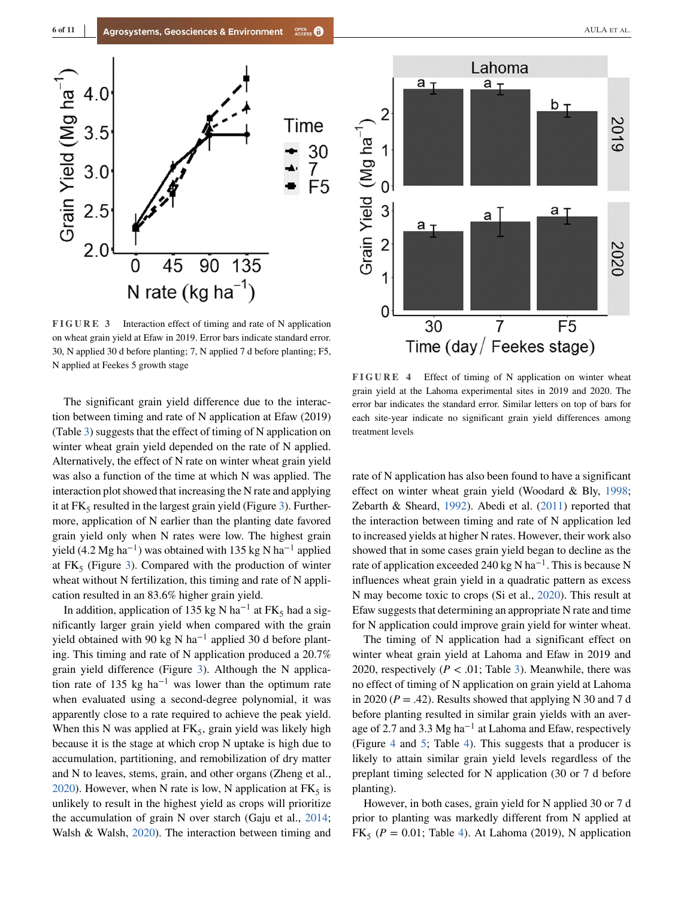<span id="page-5-0"></span>

**FIGURE 3** Interaction effect of timing and rate of N application on wheat grain yield at Efaw in 2019. Error bars indicate standard error. 30, N applied 30 d before planting; 7, N applied 7 d before planting; F5, N applied at Feekes 5 growth stage

The significant grain yield difference due to the interaction between timing and rate of N application at Efaw (2019) (Table [3\)](#page-3-0) suggests that the effect of timing of N application on winter wheat grain yield depended on the rate of N applied. Alternatively, the effect of N rate on winter wheat grain yield was also a function of the time at which N was applied. The interaction plot showed that increasing the N rate and applying it at  $FK_5$  resulted in the largest grain yield (Figure 3). Furthermore, application of N earlier than the planting date favored grain yield only when N rates were low. The highest grain yield (4.2 Mg ha<sup>-1</sup>) was obtained with 135 kg N ha<sup>-1</sup> applied at  $FK<sub>5</sub>$  (Figure 3). Compared with the production of winter wheat without N fertilization, this timing and rate of N application resulted in an 83.6% higher grain yield.

In addition, application of 135 kg N ha<sup>-1</sup> at FK<sub>5</sub> had a significantly larger grain yield when compared with the grain yield obtained with 90 kg N ha<sup>-1</sup> applied 30 d before planting. This timing and rate of N application produced a 20.7% grain yield difference (Figure 3). Although the N application rate of 135 kg ha<sup>-1</sup> was lower than the optimum rate when evaluated using a second-degree polynomial, it was apparently close to a rate required to achieve the peak yield. When this N was applied at  $FK<sub>5</sub>$ , grain yield was likely high because it is the stage at which crop N uptake is high due to accumulation, partitioning, and remobilization of dry matter and N to leaves, stems, grain, and other organs (Zheng et al., [2020\)](#page-10-0). However, when N rate is low, N application at  $FK_5$  is unlikely to result in the highest yield as crops will prioritize the accumulation of grain N over starch (Gaju et al., [2014;](#page-9-0) Walsh & Walsh, [2020\)](#page-10-0). The interaction between timing and



**FIGURE 4** Effect of timing of N application on winter wheat grain yield at the Lahoma experimental sites in 2019 and 2020. The error bar indicates the standard error. Similar letters on top of bars for each site-year indicate no significant grain yield differences among treatment levels

rate of N application has also been found to have a significant effect on winter wheat grain yield (Woodard & Bly, [1998;](#page-10-0) Zebarth & Sheard, [1992\)](#page-10-0). Abedi et al. [\(2011\)](#page-8-0) reported that the interaction between timing and rate of N application led to increased yields at higher N rates. However, their work also showed that in some cases grain yield began to decline as the rate of application exceeded 240 kg N ha<sup> $-1$ </sup>. This is because N influences wheat grain yield in a quadratic pattern as excess N may become toxic to crops (Si et al., [2020\)](#page-9-0). This result at Efaw suggests that determining an appropriate N rate and time for N application could improve grain yield for winter wheat.

The timing of N application had a significant effect on winter wheat grain yield at Lahoma and Efaw in 2019 and 2020, respectively  $(P < .01$ ; Table [3\)](#page-3-0). Meanwhile, there was no effect of timing of N application on grain yield at Lahoma in 2020 ( $P = .42$ ). Results showed that applying N 30 and 7 d before planting resulted in similar grain yields with an average of 2.7 and 3.3 Mg ha−<sup>1</sup> at Lahoma and Efaw, respectively (Figure 4 and [5;](#page-6-0) Table [4\)](#page-4-0). This suggests that a producer is likely to attain similar grain yield levels regardless of the preplant timing selected for N application (30 or 7 d before planting).

However, in both cases, grain yield for N applied 30 or 7 d prior to planting was markedly different from N applied at  $FK<sub>5</sub>$  ( $P = 0.01$ ; Table [4\)](#page-4-0). At Lahoma (2019), N application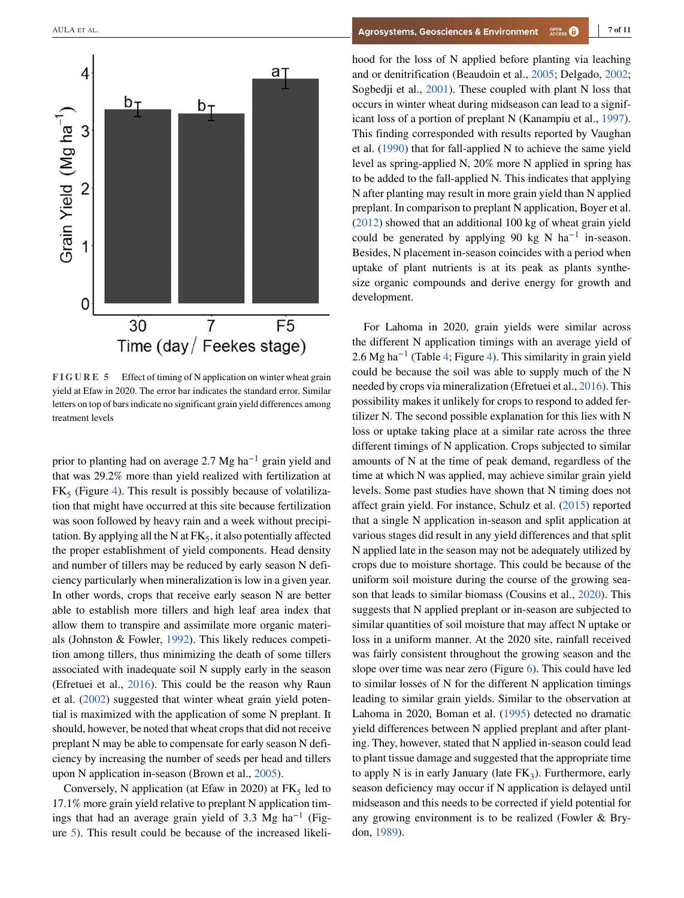<span id="page-6-0"></span>

**FIGURE 5** Effect of timing of N application on winter wheat grain yield at Efaw in 2020. The error bar indicates the standard error. Similar letters on top of bars indicate no significant grain yield differences among treatment levels

prior to planting had on average 2.7 Mg ha−<sup>1</sup> grain yield and that was 29.2% more than yield realized with fertilization at  $FK<sub>5</sub>$  (Figure [4\)](#page-5-0). This result is possibly because of volatilization that might have occurred at this site because fertilization was soon followed by heavy rain and a week without precipitation. By applying all the N at  $FK_5$ , it also potentially affected the proper establishment of yield components. Head density and number of tillers may be reduced by early season N deficiency particularly when mineralization is low in a given year. In other words, crops that receive early season N are better able to establish more tillers and high leaf area index that allow them to transpire and assimilate more organic materials (Johnston & Fowler, [1992\)](#page-9-0). This likely reduces competition among tillers, thus minimizing the death of some tillers associated with inadequate soil N supply early in the season (Efretuei et al., [2016\)](#page-9-0). This could be the reason why Raun et al. [\(2002\)](#page-9-0) suggested that winter wheat grain yield potential is maximized with the application of some N preplant. It should, however, be noted that wheat crops that did not receive preplant N may be able to compensate for early season N deficiency by increasing the number of seeds per head and tillers upon N application in-season (Brown et al., [2005\)](#page-8-0).

Conversely, N application (at Efaw in 2020) at  $FK<sub>5</sub>$  led to 17.1% more grain yield relative to preplant N application timings that had an average grain yield of 3.3 Mg ha<sup>-1</sup> (Figure 5). This result could be because of the increased likeli-

hood for the loss of N applied before planting via leaching and or denitrification (Beaudoin et al., [2005;](#page-8-0) Delgado, [2002;](#page-9-0) Sogbedji et al., [2001\)](#page-10-0). These coupled with plant N loss that occurs in winter wheat during midseason can lead to a significant loss of a portion of preplant N (Kanampiu et al., [1997\)](#page-9-0). This finding corresponded with results reported by Vaughan et al. [\(1990\)](#page-10-0) that for fall-applied N to achieve the same yield level as spring-applied N, 20% more N applied in spring has to be added to the fall-applied N. This indicates that applying N after planting may result in more grain yield than N applied preplant. In comparison to preplant N application, Boyer et al. [\(2012\)](#page-8-0) showed that an additional 100 kg of wheat grain yield could be generated by applying 90 kg N ha<sup>-1</sup> in-season. Besides, N placement in-season coincides with a period when uptake of plant nutrients is at its peak as plants synthesize organic compounds and derive energy for growth and development.

For Lahoma in 2020, grain yields were similar across the different N application timings with an average yield of 2.6 Mg ha−<sup>1</sup> (Table [4;](#page-4-0) Figure [4\)](#page-5-0). This similarity in grain yield could be because the soil was able to supply much of the N needed by crops via mineralization (Efretuei et al., [2016\)](#page-9-0). This possibility makes it unlikely for crops to respond to added fertilizer N. The second possible explanation for this lies with N loss or uptake taking place at a similar rate across the three different timings of N application. Crops subjected to similar amounts of N at the time of peak demand, regardless of the time at which N was applied, may achieve similar grain yield levels. Some past studies have shown that N timing does not affect grain yield. For instance, Schulz et al. [\(2015\)](#page-9-0) reported that a single N application in-season and split application at various stages did result in any yield differences and that split N applied late in the season may not be adequately utilized by crops due to moisture shortage. This could be because of the uniform soil moisture during the course of the growing season that leads to similar biomass (Cousins et al., [2020\)](#page-9-0). This suggests that N applied preplant or in-season are subjected to similar quantities of soil moisture that may affect N uptake or loss in a uniform manner. At the 2020 site, rainfall received was fairly consistent throughout the growing season and the slope over time was near zero (Figure [6\)](#page-7-0). This could have led to similar losses of N for the different N application timings leading to similar grain yields. Similar to the observation at Lahoma in 2020, Boman et al. [\(1995\)](#page-8-0) detected no dramatic yield differences between N applied preplant and after planting. They, however, stated that N applied in-season could lead to plant tissue damage and suggested that the appropriate time to apply N is in early January (late  $FK<sub>3</sub>$ ). Furthermore, early season deficiency may occur if N application is delayed until midseason and this needs to be corrected if yield potential for any growing environment is to be realized (Fowler & Brydon, [1989\)](#page-9-0).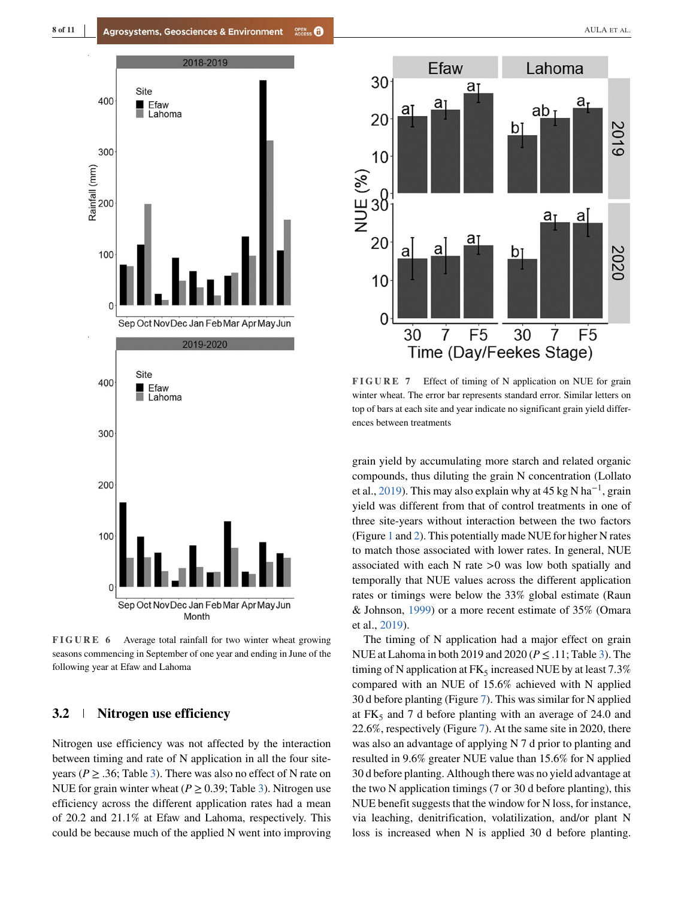<span id="page-7-0"></span>

**FIGURE 6** Average total rainfall for two winter wheat growing seasons commencing in September of one year and ending in June of the following year at Efaw and Lahoma

### **3.2 Nitrogen use efficiency**

Nitrogen use efficiency was not affected by the interaction between timing and rate of N application in all the four siteyears ( $P \geq 0.36$ ; Table [3\)](#page-3-0). There was also no effect of N rate on NUE for grain winter wheat ( $P \ge 0.39$ ; Table [3\)](#page-3-0). Nitrogen use efficiency across the different application rates had a mean of 20.2 and 21.1% at Efaw and Lahoma, respectively. This could be because much of the applied N went into improving



**FIGURE 7** Effect of timing of N application on NUE for grain winter wheat. The error bar represents standard error. Similar letters on top of bars at each site and year indicate no significant grain yield differences between treatments

grain yield by accumulating more starch and related organic compounds, thus diluting the grain N concentration (Lollato et al., [2019\)](#page-9-0). This may also explain why at 45 kg N ha<sup>−</sup>1, grain yield was different from that of control treatments in one of three site-years without interaction between the two factors (Figure [1](#page-4-0) and [2\)](#page-4-0). This potentially made NUE for higher N rates to match those associated with lower rates. In general, NUE associated with each N rate *>*0 was low both spatially and temporally that NUE values across the different application rates or timings were below the 33% global estimate (Raun & Johnson, [1999\)](#page-9-0) or a more recent estimate of 35% (Omara et al., [2019\)](#page-9-0).

The timing of N application had a major effect on grain NUE at Lahoma in both 2019 and 2020 ( $P \leq .11$ ; Table [3\)](#page-3-0). The timing of N application at  $FK_5$  increased NUE by at least 7.3% compared with an NUE of 15.6% achieved with N applied 30 d before planting (Figure 7). This was similar for N applied at  $FK<sub>5</sub>$  and 7 d before planting with an average of 24.0 and 22.6%, respectively (Figure 7). At the same site in 2020, there was also an advantage of applying N 7 d prior to planting and resulted in 9.6% greater NUE value than 15.6% for N applied 30 d before planting. Although there was no yield advantage at the two N application timings (7 or 30 d before planting), this NUE benefit suggests that the window for N loss, for instance, via leaching, denitrification, volatilization, and/or plant N loss is increased when N is applied 30 d before planting.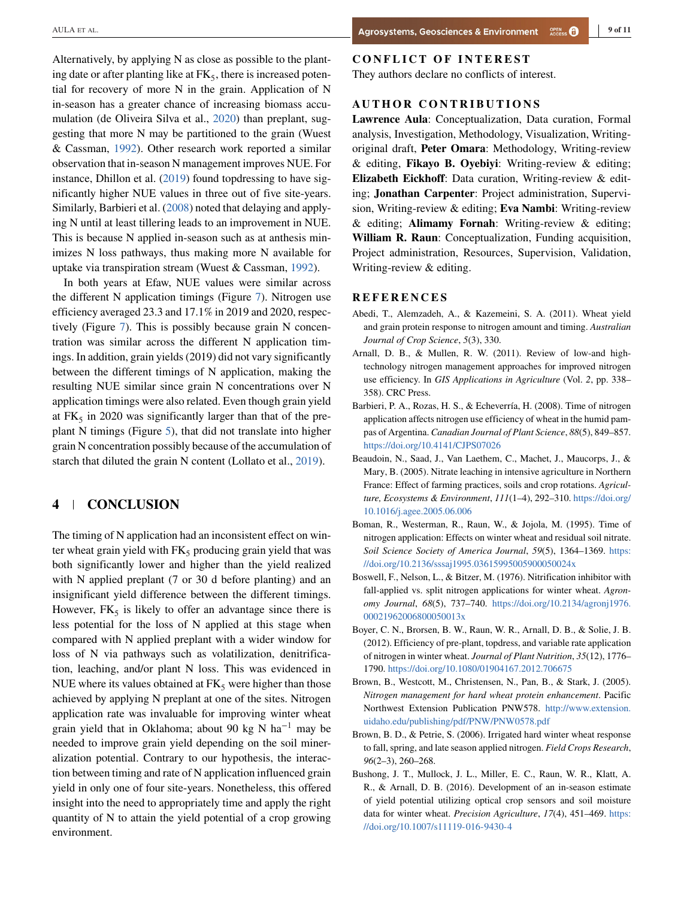<span id="page-8-0"></span>Alternatively, by applying N as close as possible to the planting date or after planting like at  $FK<sub>5</sub>$ , there is increased potential for recovery of more N in the grain. Application of N in-season has a greater chance of increasing biomass accumulation (de Oliveira Silva et al., [2020\)](#page-9-0) than preplant, suggesting that more N may be partitioned to the grain (Wuest & Cassman, [1992\)](#page-10-0). Other research work reported a similar observation that in-season N management improves NUE. For instance, Dhillon et al. [\(2019\)](#page-9-0) found topdressing to have significantly higher NUE values in three out of five site-years. Similarly, Barbieri et al. (2008) noted that delaying and applying N until at least tillering leads to an improvement in NUE. This is because N applied in-season such as at anthesis minimizes N loss pathways, thus making more N available for uptake via transpiration stream (Wuest & Cassman, [1992\)](#page-10-0).

In both years at Efaw, NUE values were similar across the different N application timings (Figure [7\)](#page-7-0). Nitrogen use efficiency averaged 23.3 and 17.1% in 2019 and 2020, respectively (Figure [7\)](#page-7-0). This is possibly because grain N concentration was similar across the different N application timings. In addition, grain yields (2019) did not vary significantly between the different timings of N application, making the resulting NUE similar since grain N concentrations over N application timings were also related. Even though grain yield at  $FK<sub>5</sub>$  in 2020 was significantly larger than that of the preplant N timings (Figure [5\)](#page-6-0), that did not translate into higher grain N concentration possibly because of the accumulation of starch that diluted the grain N content (Lollato et al., [2019\)](#page-9-0).

## **4 CONCLUSION**

The timing of N application had an inconsistent effect on winter wheat grain yield with  $FK<sub>5</sub>$  producing grain yield that was both significantly lower and higher than the yield realized with N applied preplant (7 or 30 d before planting) and an insignificant yield difference between the different timings. However,  $FK_5$  is likely to offer an advantage since there is less potential for the loss of N applied at this stage when compared with N applied preplant with a wider window for loss of N via pathways such as volatilization, denitrification, leaching, and/or plant N loss. This was evidenced in NUE where its values obtained at  $FK<sub>5</sub>$  were higher than those achieved by applying N preplant at one of the sites. Nitrogen application rate was invaluable for improving winter wheat grain yield that in Oklahoma; about 90 kg N ha<sup>-1</sup> may be needed to improve grain yield depending on the soil mineralization potential. Contrary to our hypothesis, the interaction between timing and rate of N application influenced grain yield in only one of four site-years. Nonetheless, this offered insight into the need to appropriately time and apply the right quantity of N to attain the yield potential of a crop growing environment.

#### **CONFLICT OF INTEREST**

They authors declare no conflicts of interest.

**Lawrence Aula**: Conceptualization, Data curation, Formal analysis, Investigation, Methodology, Visualization, Writingoriginal draft, **Peter Omara**: Methodology, Writing-review & editing, **Fikayo B. Oyebiyi**: Writing-review & editing; **Elizabeth Eickhoff**: Data curation, Writing-review & editing; **Jonathan Carpenter**: Project administration, Supervision, Writing-review & editing; **Eva Nambi**: Writing-review & editing; **Alimamy Fornah**: Writing-review & editing; **William R. Raun**: Conceptualization, Funding acquisition, Project administration, Resources, Supervision, Validation, Writing-review & editing.

- **REFERENCES** Abedi, T., Alemzadeh, A., & Kazemeini, S. A. (2011). Wheat yield and grain protein response to nitrogen amount and timing. *Australian Journal of Crop Science*, *5*(3), 330.
- Arnall, D. B., & Mullen, R. W. (2011). Review of low-and hightechnology nitrogen management approaches for improved nitrogen use efficiency. In *GIS Applications in Agriculture* (Vol. *2*, pp. 338– 358). CRC Press.
- Barbieri, P. A., Rozas, H. S., & Echeverría, H. (2008). Time of nitrogen application affects nitrogen use efficiency of wheat in the humid pampas of Argentina. *Canadian Journal of Plant Science*, *88*(5), 849–857. <https://doi.org/10.4141/CJPS07026>
- Beaudoin, N., Saad, J., Van Laethem, C., Machet, J., Maucorps, J., & Mary, B. (2005). Nitrate leaching in intensive agriculture in Northern France: Effect of farming practices, soils and crop rotations. *Agriculture, Ecosystems & Environment*, *111*(1–4), 292–310. [https://doi.org/](https://doi.org/10.1016/j.agee.2005.06.006) [10.1016/j.agee.2005.06.006](https://doi.org/10.1016/j.agee.2005.06.006)
- Boman, R., Westerman, R., Raun, W., & Jojola, M. (1995). Time of nitrogen application: Effects on winter wheat and residual soil nitrate. *Soil Science Society of America Journal*, *59*(5), 1364–1369. [https:](https://doi.org/10.2136/sssaj1995.03615995005900050024x) [//doi.org/10.2136/sssaj1995.03615995005900050024x](https://doi.org/10.2136/sssaj1995.03615995005900050024x)
- Boswell, F., Nelson, L., & Bitzer, M. (1976). Nitrification inhibitor with fall-applied vs. split nitrogen applications for winter wheat. *Agronomy Journal*, *68*(5), 737–740. [https://doi.org/10.2134/agronj1976.](https://doi.org/10.2134/agronj1976.00021962006800050013x) [00021962006800050013x](https://doi.org/10.2134/agronj1976.00021962006800050013x)
- Boyer, C. N., Brorsen, B. W., Raun, W. R., Arnall, D. B., & Solie, J. B. (2012). Efficiency of pre-plant, topdress, and variable rate application of nitrogen in winter wheat. *Journal of Plant Nutrition*, *35*(12), 1776– 1790. <https://doi.org/10.1080/01904167.2012.706675>
- Brown, B., Westcott, M., Christensen, N., Pan, B., & Stark, J. (2005). *Nitrogen management for hard wheat protein enhancement*. Pacific Northwest Extension Publication PNW578. [http://www.extension.](http://www.extension.uidaho.edu/publishing/pdf/PNW/PNW0578.pdf) [uidaho.edu/publishing/pdf/PNW/PNW0578.pdf](http://www.extension.uidaho.edu/publishing/pdf/PNW/PNW0578.pdf)
- Brown, B. D., & Petrie, S. (2006). Irrigated hard winter wheat response to fall, spring, and late season applied nitrogen. *Field Crops Research*, *96*(2–3), 260–268.
- Bushong, J. T., Mullock, J. L., Miller, E. C., Raun, W. R., Klatt, A. R., & Arnall, D. B. (2016). Development of an in-season estimate of yield potential utilizing optical crop sensors and soil moisture data for winter wheat. *Precision Agriculture*, *17*(4), 451–469. [https:](https://doi.org/10.1007/s11119-016-9430-4) [//doi.org/10.1007/s11119-016-9430-4](https://doi.org/10.1007/s11119-016-9430-4)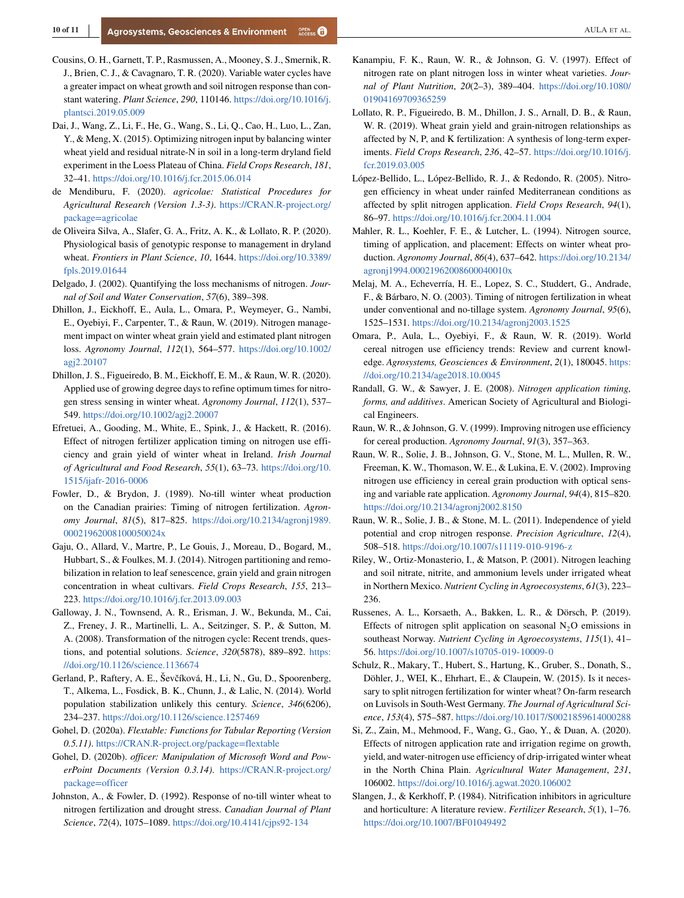- <span id="page-9-0"></span>Cousins, O. H., Garnett, T. P., Rasmussen, A., Mooney, S. J., Smernik, R. J., Brien, C. J., & Cavagnaro, T. R. (2020). Variable water cycles have a greater impact on wheat growth and soil nitrogen response than constant watering. *Plant Science*, *290*, 110146. [https://doi.org/10.1016/j.](https://doi.org/10.1016/j.plantsci.2019.05.009) [plantsci.2019.05.009](https://doi.org/10.1016/j.plantsci.2019.05.009)
- Dai, J., Wang, Z., Li, F., He, G., Wang, S., Li, Q., Cao, H., Luo, L., Zan, Y., & Meng, X. (2015). Optimizing nitrogen input by balancing winter wheat yield and residual nitrate-N in soil in a long-term dryland field experiment in the Loess Plateau of China. *Field Crops Research*, *181*, 32–41. <https://doi.org/10.1016/j.fcr.2015.06.014>
- de Mendiburu, F. (2020). *agricolae: Statistical Procedures for Agricultural Research (Version 1.3-3)*. [https://CRAN.R-project.org/](https://CRAN.R-project.org/package=agricolae) [package=agricolae](https://CRAN.R-project.org/package=agricolae)
- de Oliveira Silva, A., Slafer, G. A., Fritz, A. K., & Lollato, R. P. (2020). Physiological basis of genotypic response to management in dryland wheat. *Frontiers in Plant Science*, *10*, 1644. [https://doi.org/10.3389/](https://doi.org/10.3389/fpls.2019.01644) [fpls.2019.01644](https://doi.org/10.3389/fpls.2019.01644)
- Delgado, J. (2002). Quantifying the loss mechanisms of nitrogen. *Journal of Soil and Water Conservation*, *57*(6), 389–398.
- Dhillon, J., Eickhoff, E., Aula, L., Omara, P., Weymeyer, G., Nambi, E., Oyebiyi, F., Carpenter, T., & Raun, W. (2019). Nitrogen management impact on winter wheat grain yield and estimated plant nitrogen loss. *Agronomy Journal*, *112*(1), 564–577. [https://doi.org/10.1002/](https://doi.org/10.1002/agj2.20107) [agj2.20107](https://doi.org/10.1002/agj2.20107)
- Dhillon, J. S., Figueiredo, B. M., Eickhoff, E. M., & Raun, W. R. (2020). Applied use of growing degree days to refine optimum times for nitrogen stress sensing in winter wheat. *Agronomy Journal*, *112*(1), 537– 549. <https://doi.org/10.1002/agj2.20007>
- Efretuei, A., Gooding, M., White, E., Spink, J., & Hackett, R. (2016). Effect of nitrogen fertilizer application timing on nitrogen use efficiency and grain yield of winter wheat in Ireland. *Irish Journal of Agricultural and Food Research*, *55*(1), 63–73. [https://doi.org/10.](https://doi.org/10.1515/ijafr-2016-0006) [1515/ijafr-2016-0006](https://doi.org/10.1515/ijafr-2016-0006)
- Fowler, D., & Brydon, J. (1989). No-till winter wheat production on the Canadian prairies: Timing of nitrogen fertilization. *Agronomy Journal*, *81*(5), 817–825. [https://doi.org/10.2134/agronj1989.](https://doi.org/10.2134/agronj1989.00021962008100050024x) [00021962008100050024x](https://doi.org/10.2134/agronj1989.00021962008100050024x)
- Gaju, O., Allard, V., Martre, P., Le Gouis, J., Moreau, D., Bogard, M., Hubbart, S., & Foulkes, M. J. (2014). Nitrogen partitioning and remobilization in relation to leaf senescence, grain yield and grain nitrogen concentration in wheat cultivars. *Field Crops Research*, *155*, 213– 223. <https://doi.org/10.1016/j.fcr.2013.09.003>
- Galloway, J. N., Townsend, A. R., Erisman, J. W., Bekunda, M., Cai, Z., Freney, J. R., Martinelli, L. A., Seitzinger, S. P., & Sutton, M. A. (2008). Transformation of the nitrogen cycle: Recent trends, questions, and potential solutions. *Science*, *320*(5878), 889–892. [https:](https://doi.org/10.1126/science.1136674) [//doi.org/10.1126/science.1136674](https://doi.org/10.1126/science.1136674)
- Gerland, P., Raftery, A. E., Ševčíková, H., Li, N., Gu, D., Spoorenberg, T., Alkema, L., Fosdick, B. K., Chunn, J., & Lalic, N. (2014). World population stabilization unlikely this century. *Science*, *346*(6206), 234–237. <https://doi.org/10.1126/science.1257469>
- Gohel, D. (2020a). *Flextable: Functions for Tabular Reporting (Version 0.5.11)*. <https://CRAN.R-project.org/package=flextable>
- Gohel, D. (2020b). *officer: Manipulation of Microsoft Word and PowerPoint Documents (Version 0.3.14)*. [https://CRAN.R-project.org/](https://CRAN.R-project.org/package=officer) [package=officer](https://CRAN.R-project.org/package=officer)
- Johnston, A., & Fowler, D. (1992). Response of no-till winter wheat to nitrogen fertilization and drought stress. *Canadian Journal of Plant Science*, *72*(4), 1075–1089. <https://doi.org/10.4141/cjps92-134>
- Kanampiu, F. K., Raun, W. R., & Johnson, G. V. (1997). Effect of nitrogen rate on plant nitrogen loss in winter wheat varieties. *Journal of Plant Nutrition*, *20*(2–3), 389–404. [https://doi.org/10.1080/](https://doi.org/10.1080/01904169709365259) [01904169709365259](https://doi.org/10.1080/01904169709365259)
- Lollato, R. P., Figueiredo, B. M., Dhillon, J. S., Arnall, D. B., & Raun, W. R. (2019). Wheat grain yield and grain-nitrogen relationships as affected by N, P, and K fertilization: A synthesis of long-term experiments. *Field Crops Research*, *236*, 42–57. [https://doi.org/10.1016/j.](https://doi.org/10.1016/j.fcr.2019.03.005) [fcr.2019.03.005](https://doi.org/10.1016/j.fcr.2019.03.005)
- López-Bellido, L., López-Bellido, R. J., & Redondo, R. (2005). Nitrogen efficiency in wheat under rainfed Mediterranean conditions as affected by split nitrogen application. *Field Crops Research*, *94*(1), 86–97. <https://doi.org/10.1016/j.fcr.2004.11.004>
- Mahler, R. L., Koehler, F. E., & Lutcher, L. (1994). Nitrogen source, timing of application, and placement: Effects on winter wheat production. *Agronomy Journal*, *86*(4), 637–642. [https://doi.org/10.2134/](https://doi.org/10.2134/agronj1994.00021962008600040010x) [agronj1994.00021962008600040010x](https://doi.org/10.2134/agronj1994.00021962008600040010x)
- Melaj, M. A., Echeverría, H. E., Lopez, S. C., Studdert, G., Andrade, F., & Bárbaro, N. O. (2003). Timing of nitrogen fertilization in wheat under conventional and no-tillage system. *Agronomy Journal*, *95*(6), 1525–1531. <https://doi.org/10.2134/agronj2003.1525>
- Omara, P., Aula, L., Oyebiyi, F., & Raun, W. R. (2019). World cereal nitrogen use efficiency trends: Review and current knowledge. *Agrosystems, Geosciences & Environment*, *2*(1), 180045. [https:](https://doi.org/10.2134/age2018.10.0045) [//doi.org/10.2134/age2018.10.0045](https://doi.org/10.2134/age2018.10.0045)
- Randall, G. W., & Sawyer, J. E. (2008). *Nitrogen application timing, forms, and additives*. American Society of Agricultural and Biological Engineers.
- Raun, W. R., & Johnson, G. V. (1999). Improving nitrogen use efficiency for cereal production. *Agronomy Journal*, *91*(3), 357–363.
- Raun, W. R., Solie, J. B., Johnson, G. V., Stone, M. L., Mullen, R. W., Freeman, K. W., Thomason, W. E., & Lukina, E. V. (2002). Improving nitrogen use efficiency in cereal grain production with optical sensing and variable rate application. *Agronomy Journal*, *94*(4), 815–820. <https://doi.org/10.2134/agronj2002.8150>
- Raun, W. R., Solie, J. B., & Stone, M. L. (2011). Independence of yield potential and crop nitrogen response. *Precision Agriculture*, *12*(4), 508–518. <https://doi.org/10.1007/s11119-010-9196-z>
- Riley, W., Ortiz-Monasterio, I., & Matson, P. (2001). Nitrogen leaching and soil nitrate, nitrite, and ammonium levels under irrigated wheat in Northern Mexico. *Nutrient Cycling in Agroecosystems*, *61*(3), 223– 236.
- Russenes, A. L., Korsaeth, A., Bakken, L. R., & Dörsch, P. (2019). Effects of nitrogen split application on seasonal  $N_2O$  emissions in southeast Norway. *Nutrient Cycling in Agroecosystems*, *115*(1), 41– 56. <https://doi.org/10.1007/s10705-019-10009-0>
- Schulz, R., Makary, T., Hubert, S., Hartung, K., Gruber, S., Donath, S., Döhler, J., WEI, K., Ehrhart, E., & Claupein, W. (2015). Is it necessary to split nitrogen fertilization for winter wheat? On-farm research on Luvisols in South-West Germany. *The Journal of Agricultural Science*, *153*(4), 575–587. <https://doi.org/10.1017/S0021859614000288>
- Si, Z., Zain, M., Mehmood, F., Wang, G., Gao, Y., & Duan, A. (2020). Effects of nitrogen application rate and irrigation regime on growth, yield, and water-nitrogen use efficiency of drip-irrigated winter wheat in the North China Plain. *Agricultural Water Management*, *231*, 106002. <https://doi.org/10.1016/j.agwat.2020.106002>
- Slangen, J., & Kerkhoff, P. (1984). Nitrification inhibitors in agriculture and horticulture: A literature review. *Fertilizer Research*, *5*(1), 1–76. <https://doi.org/10.1007/BF01049492>